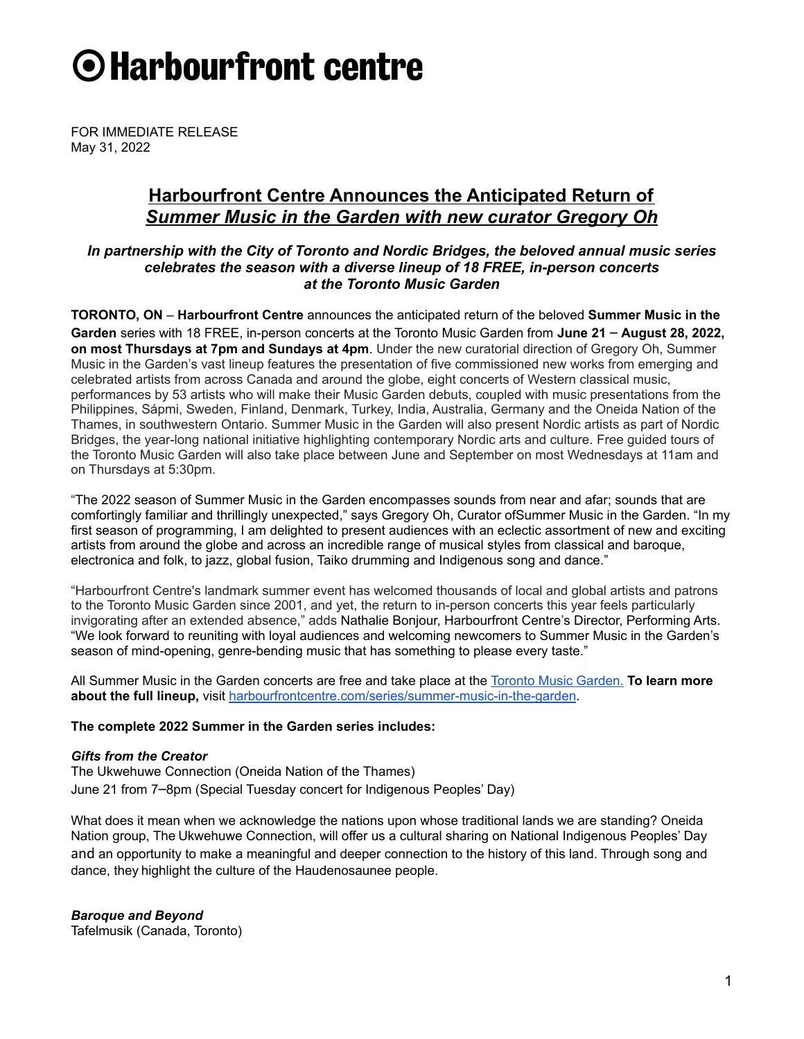# O Harbourfront centre

FOR IMMEDIATE RELEASE May 31, 2022

# **Harbourfront Centre Announces the Anticipated Return of** *Summer Music in the Garden with new curator Gregory Oh*

# *In partnership with the City of Toronto and Nordic Bridges, the beloved annual music series celebrates the season with a diverse lineup of 18 FREE, in-person concerts at the Toronto Music Garden*

**TORONTO, ON** – **Harbourfront Centre** announces the anticipated return of the beloved **Summer Music in the Garden** series with 18 FREE, in-person concerts at the Toronto Music Garden from **June 21** – **August 28, 2022, on most Thursdays at 7pm and Sundays at 4pm**. Under the new curatorial direction of Gregory Oh, Summer Music in the Garden's vast lineup features the presentation of five commissioned new works from emerging and celebrated artists from across Canada and around the globe, eight concerts of Western classical music, performances by 53 artists who will make their Music Garden debuts, coupled with music presentations from the Philippines, Sápmi, Sweden, Finland, Denmark, Turkey, India, Australia, Germany and the Oneida Nation of the Thames, in southwestern Ontario. Summer Music in the Garden will also present Nordic artists as part of Nordic Bridges, the year-long national initiative highlighting contemporary Nordic arts and culture. Free guided tours of the Toronto Music Garden will also take place between June and September on most Wednesdays at 11am and on Thursdays at 5:30pm.

"The 2022 season of Summer Music in the Garden encompasses sounds from near and afar; sounds that are comfortingly familiar and thrillingly unexpected," says Gregory Oh, Curator ofSummer Music in the Garden. "In my first season of programming, I am delighted to present audiences with an eclectic assortment of new and exciting artists from around the globe and across an incredible range of musical styles from classical and baroque, electronica and folk, to jazz, global fusion, Taiko drumming and Indigenous song and dance."

"Harbourfront Centre's landmark summer event has welcomed thousands of local and global artists and patrons to the Toronto Music Garden since 2001, and yet, the return to in-person concerts this year feels particularly invigorating after an extended absence," adds Nathalie Bonjour, Harbourfront Centre's Director, Performing Arts. "We look forward to reuniting with loyal audiences and welcoming newcomers to Summer Music in the Garden's season of mind-opening, genre-bending music that has something to please every taste."

All Summer Music in the Garden concerts are free and take place at the Toronto Music [Garden.](https://www.toronto.ca/data/parks/prd/facilities/complex/1707/index.html) **To learn more about the full lineup,** visit [harbourfrontcentre.com/series/summer-music-in-the-garden.](https://harbourfrontcentre.com/series/summer-music-in-the-garden/)

# **The complete 2022 Summer in the Garden series includes:**

## *Gifts from the Creator*

The Ukwehuwe Connection (Oneida Nation of the Thames) June 21 from 7–8pm (Special Tuesday concert for Indigenous Peoples' Day)

What does it mean when we acknowledge the nations upon whose traditional lands we are standing? Oneida Nation group, The Ukwehuwe Connection, will offer us a cultural sharing on National Indigenous Peoples' Day and an opportunity to make a meaningful and deeper connection to the history of this land. Through song and dance, they highlight the culture of the Haudenosaunee people.

*Baroque and Beyond*

Tafelmusik (Canada, Toronto)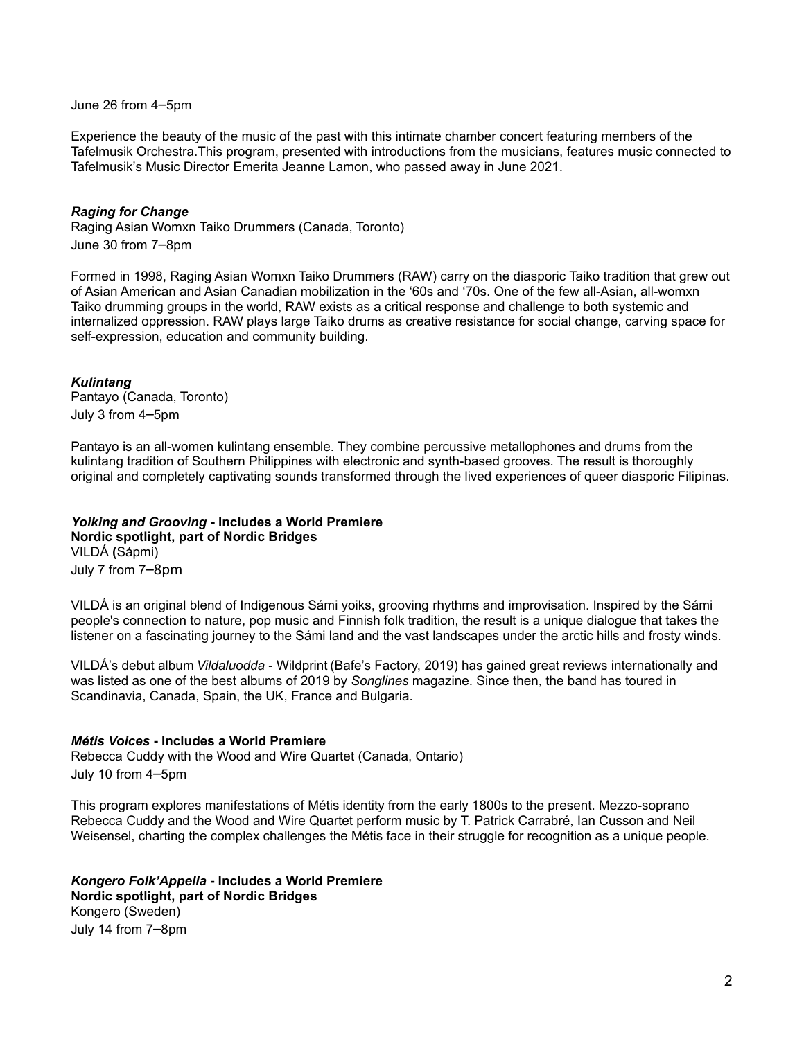June 26 from 4–5pm

Experience the beauty of the music of the past with this intimate chamber concert featuring members of the Tafelmusik Orchestra.This program, presented with introductions from the musicians, features music connected to Tafelmusik's Music Director Emerita Jeanne Lamon, who passed away in June 2021.

## *Raging for Change*

Raging Asian Womxn Taiko Drummers (Canada, Toronto) June 30 from 7–8pm

Formed in 1998, Raging Asian Womxn Taiko Drummers (RAW) carry on the diasporic Taiko tradition that grew out of Asian American and Asian Canadian mobilization in the '60s and '70s. One of the few all-Asian, all-womxn Taiko drumming groups in the world, RAW exists as a critical response and challenge to both systemic and internalized oppression. RAW plays large Taiko drums as creative resistance for social change, carving space for self-expression, education and community building.

## *Kulintang*

Pantayo (Canada, Toronto) July 3 from 4–5pm

Pantayo is an all-women kulintang ensemble. They combine percussive metallophones and drums from the kulintang tradition of Southern Philippines with electronic and synth-based grooves. The result is thoroughly original and completely captivating sounds transformed through the lived experiences of queer diasporic Filipinas.

# *Yoiking and Grooving* **- Includes a World Premiere**

**Nordic spotlight, part of Nordic Bridges** VILDÁ **(**Sápmi) July 7 from 7–8pm

VILDÁ is an original blend of Indigenous Sámi yoiks, grooving rhythms and improvisation. Inspired by the Sámi people's connection to nature, pop music and Finnish folk tradition, the result is a unique dialogue that takes the listener on a fascinating journey to the Sámi land and the vast landscapes under the arctic hills and frosty winds.

VILDÁ's debut album *Vildaluodda* - Wildprint (Bafe's Factory, 2019) has gained great reviews internationally and was listed as one of the best albums of 2019 by *Songlines* magazine. Since then, the band has toured in Scandinavia, Canada, Spain, the UK, France and Bulgaria.

# *Métis Voices* **- Includes a World Premiere**

Rebecca Cuddy with the Wood and Wire Quartet (Canada, Ontario)

July 10 from 4–5pm

This program explores manifestations of Métis identity from the early 1800s to the present. Mezzo-soprano Rebecca Cuddy and the Wood and Wire Quartet perform music by T. Patrick Carrabré, Ian Cusson and Neil Weisensel, charting the complex challenges the Métis face in their struggle for recognition as a unique people.

*Kongero Folk'Appella* **- Includes a World Premiere Nordic spotlight, part of Nordic Bridges** Kongero (Sweden) July 14 from 7–8pm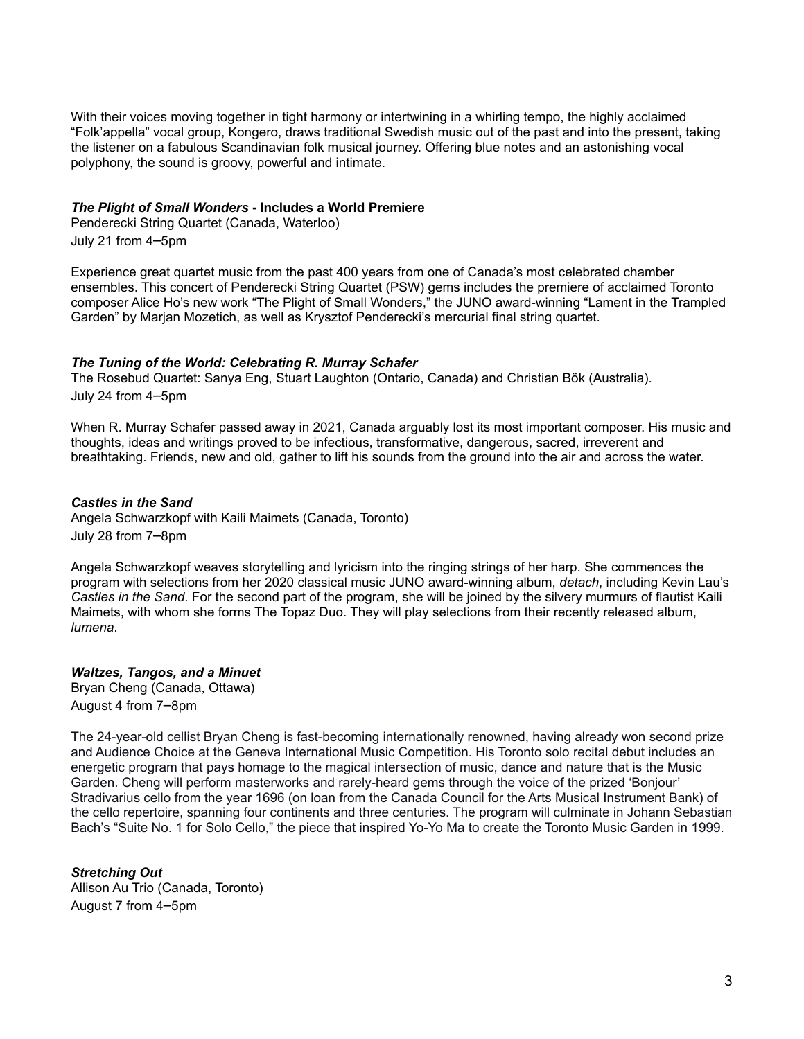With their voices moving together in tight harmony or intertwining in a whirling tempo, the highly acclaimed "Folk'appella" vocal group, Kongero, draws traditional Swedish music out of the past and into the present, taking the listener on a fabulous Scandinavian folk musical journey. Offering blue notes and an astonishing vocal polyphony, the sound is groovy, powerful and intimate.

### *The Plight of Small Wonders* **- Includes a World Premiere**

Penderecki String Quartet (Canada, Waterloo) July 21 from 4–5pm

Experience great quartet music from the past 400 years from one of Canada's most celebrated chamber ensembles. This concert of Penderecki String Quartet (PSW) gems includes the premiere of acclaimed Toronto composer Alice Ho's new work "The Plight of Small Wonders," the JUNO award-winning "Lament in the Trampled Garden" by Marjan Mozetich, as well as Krysztof Penderecki's mercurial final string quartet.

#### *The Tuning of the World: Celebrating R. Murray Schafer*

The Rosebud Quartet: Sanya Eng, Stuart Laughton (Ontario, Canada) and Christian Bök (Australia). July 24 from 4–5pm

When R. Murray Schafer passed away in 2021, Canada arguably lost its most important composer. His music and thoughts, ideas and writings proved to be infectious, transformative, dangerous, sacred, irreverent and breathtaking. Friends, new and old, gather to lift his sounds from the ground into the air and across the water.

#### *Castles in the Sand*

Angela Schwarzkopf with Kaili Maimets (Canada, Toronto) July 28 from 7–8pm

Angela Schwarzkopf weaves storytelling and lyricism into the ringing strings of her harp. She commences the program with selections from her 2020 classical music JUNO award-winning album, *detach*, including Kevin Lau's *Castles in the Sand*. For the second part of the program, she will be joined by the silvery murmurs of flautist Kaili Maimets, with whom she forms The Topaz Duo. They will play selections from their recently released album, *lumena*.

# *Waltzes, Tangos, and a Minuet*

Bryan Cheng (Canada, Ottawa) August 4 from 7–8pm

The 24-year-old cellist Bryan Cheng is fast-becoming internationally renowned, having already won second prize and Audience Choice at the Geneva International Music Competition. His Toronto solo recital debut includes an energetic program that pays homage to the magical intersection of music, dance and nature that is the Music Garden. Cheng will perform masterworks and rarely-heard gems through the voice of the prized 'Bonjour' Stradivarius cello from the year 1696 (on loan from the Canada Council for the Arts Musical Instrument Bank) of the cello repertoire, spanning four continents and three centuries. The program will culminate in Johann Sebastian Bach's "Suite No. 1 for Solo Cello," the piece that inspired Yo-Yo Ma to create the Toronto Music Garden in 1999.

# *Stretching Out* Allison Au Trio (Canada, Toronto) August 7 from 4–5pm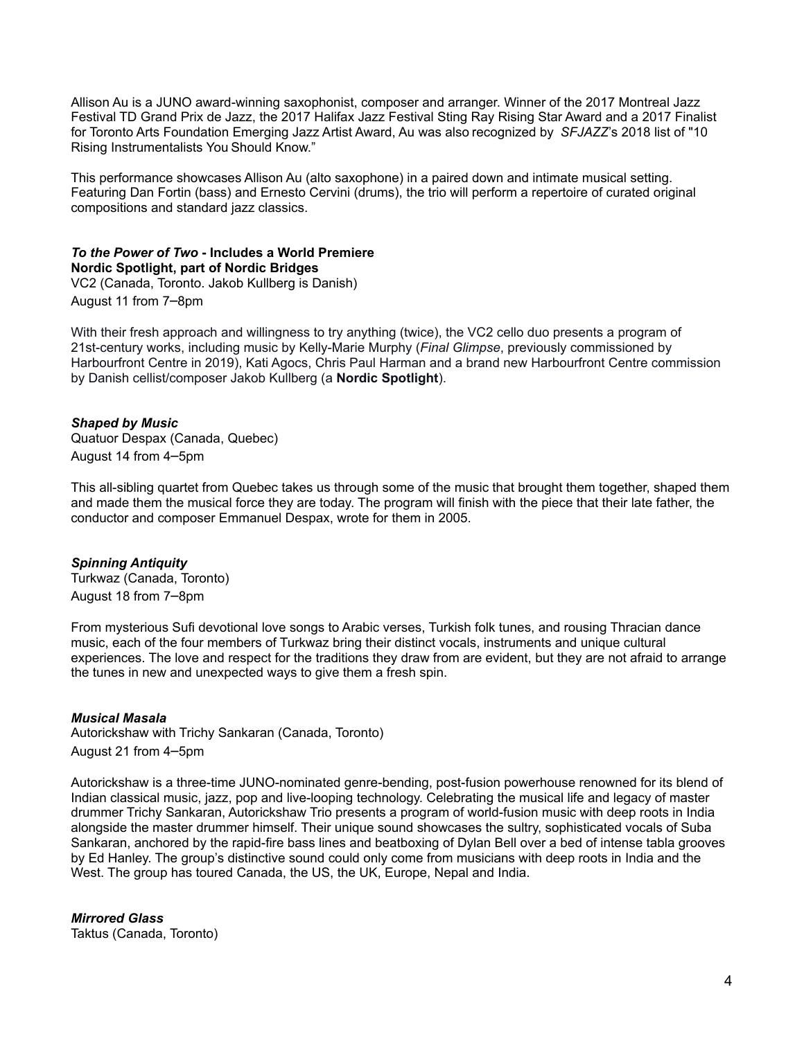Allison Au is a JUNO award-winning saxophonist, composer and arranger. Winner of the 2017 Montreal Jazz Festival TD Grand Prix de Jazz, the 2017 Halifax Jazz Festival Sting Ray Rising Star Award and a 2017 Finalist for Toronto Arts Foundation Emerging Jazz Artist Award, Au was also recognized by *SFJAZZ*'s 2018 list of "10 Rising Instrumentalists You Should Know."

This performance showcases Allison Au (alto saxophone) in a paired down and intimate musical setting. Featuring Dan Fortin (bass) and Ernesto Cervini (drums), the trio will perform a repertoire of curated original compositions and standard jazz classics.

## *To the Power of Two* **- Includes a World Premiere Nordic Spotlight, part of Nordic Bridges**

VC2 (Canada, Toronto. Jakob Kullberg is Danish) August 11 from 7–8pm

With their fresh approach and willingness to try anything (twice), the VC2 cello duo presents a program of 21st-century works, including music by Kelly-Marie Murphy (*Final Glimpse*, previously commissioned by Harbourfront Centre in 2019), Kati Agocs, Chris Paul Harman and a brand new Harbourfront Centre commission by Danish cellist/composer Jakob Kullberg (a **Nordic Spotlight**).

# *Shaped by Music*

Quatuor Despax (Canada, Quebec) August 14 from 4–5pm

This all-sibling quartet from Quebec takes us through some of the music that brought them together, shaped them and made them the musical force they are today. The program will finish with the piece that their late father, the conductor and composer Emmanuel Despax, wrote for them in 2005.

## *Spinning Antiquity*

Turkwaz (Canada, Toronto) August 18 from 7–8pm

From mysterious Sufi devotional love songs to Arabic verses, Turkish folk tunes, and rousing Thracian dance music, each of the four members of Turkwaz bring their distinct vocals, instruments and unique cultural experiences. The love and respect for the traditions they draw from are evident, but they are not afraid to arrange the tunes in new and unexpected ways to give them a fresh spin.

## *Musical Masala*

Autorickshaw with Trichy Sankaran (Canada, Toronto) August 21 from 4–5pm

Autorickshaw is a three-time JUNO-nominated genre-bending, post-fusion powerhouse renowned for its blend of Indian classical music, jazz, pop and live-looping technology. Celebrating the musical life and legacy of master drummer Trichy Sankaran, Autorickshaw Trio presents a program of world-fusion music with deep roots in India alongside the master drummer himself. Their unique sound showcases the sultry, sophisticated vocals of Suba Sankaran, anchored by the rapid-fire bass lines and beatboxing of Dylan Bell over a bed of intense tabla grooves by Ed Hanley. The group's distinctive sound could only come from musicians with deep roots in India and the West. The group has toured Canada, the US, the UK, Europe, Nepal and India.

# *Mirrored Glass*

Taktus (Canada, Toronto)